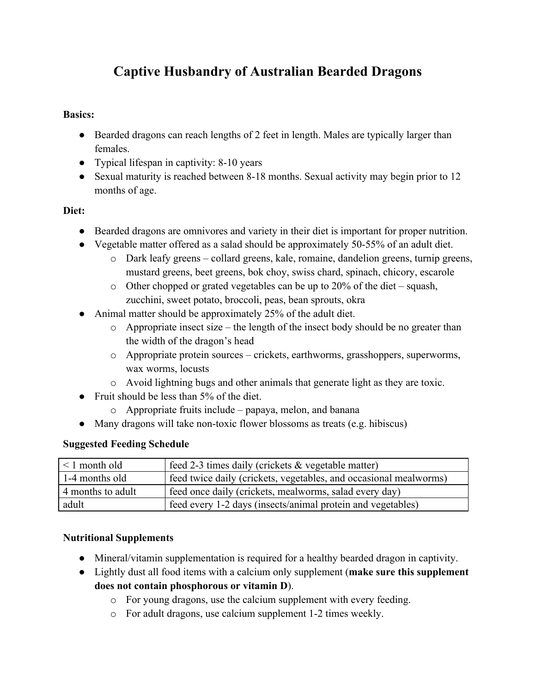# **Captive Husbandry of Australian Bearded Dragons**

#### **Basics:**

- Bearded dragons can reach lengths of 2 feet in length. Males are typically larger than females.
- Typical lifespan in captivity: 8-10 years
- Sexual maturity is reached between 8-18 months. Sexual activity may begin prior to 12 months of age.

# **Diet:**

- Bearded dragons are omnivores and variety in their diet is important for proper nutrition.
- Vegetable matter offered as a salad should be approximately  $50-55\%$  of an adult diet.
	- o Dark leafy greens collard greens, kale, romaine, dandelion greens, turnip greens, mustard greens, beet greens, bok choy, swiss chard, spinach, chicory, escarole
	- $\circ$  Other chopped or grated vegetables can be up to 20% of the diet squash, zucchini, sweet potato, broccoli, peas, bean sprouts, okra
- Animal matter should be approximately 25% of the adult diet.
	- o Appropriate insect size the length of the insect body should be no greater than the width of the dragon's head
	- o Appropriate protein sources crickets, earthworms, grasshoppers, superworms, wax worms, locusts
	- o Avoid lightning bugs and other animals that generate light as they are toxic.
- Fruit should be less than 5% of the diet.
	- o Appropriate fruits include papaya, melon, and banana
- Many dragons will take non-toxic flower blossoms as treats (e.g. hibiscus)

#### **Suggested Feeding Schedule**

| $\vert$ < 1 month old | feed 2-3 times daily (crickets & vegetable matter)                |
|-----------------------|-------------------------------------------------------------------|
| 1-4 months old        | feed twice daily (crickets, vegetables, and occasional mealworms) |
| 4 months to adult     | feed once daily (crickets, mealworms, salad every day)            |
| adult                 | feed every 1-2 days (insects/animal protein and vegetables)       |

# **Nutritional Supplements**

- Mineral/vitamin supplementation is required for a healthy bearded dragon in captivity.
- Lightly dust all food items with a calcium only supplement (**make sure this supplement does not contain phosphorous or vitamin D**).
	- o For young dragons, use the calcium supplement with every feeding.
	- o For adult dragons, use calcium supplement 1-2 times weekly.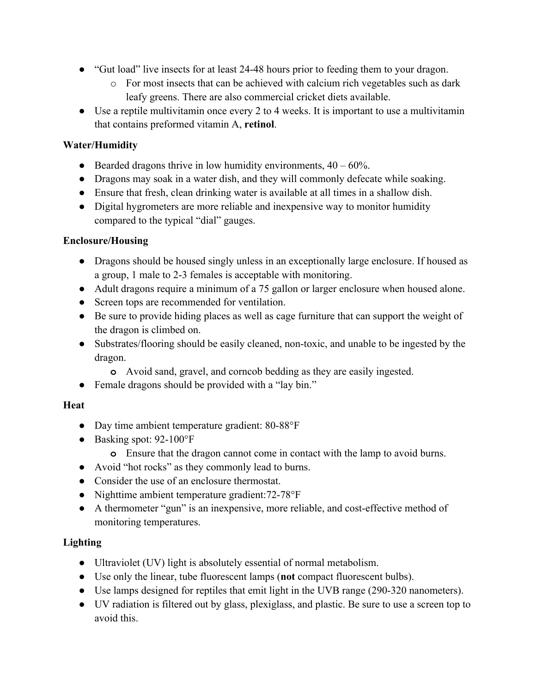- "Gut load" live insects for at least 24-48 hours prior to feeding them to your dragon.
	- o For most insects that can be achieved with calcium rich vegetables such as dark leafy greens. There are also commercial cricket diets available.
- Use a reptile multivitamin once every 2 to 4 weeks. It is important to use a multivitamin that contains preformed vitamin A, **retinol**.

# **Water/Humidity**

- **●** Bearded dragons thrive in low humidity environments, 40 60%.
- **●** Dragons may soak in a water dish, and they will commonly defecate while soaking.
- **●** Ensure that fresh, clean drinking water is available at all times in a shallow dish.
- **●** Digital hygrometers are more reliable and inexpensive way to monitor humidity compared to the typical "dial" gauges.

#### **Enclosure/Housing**

- **●** Dragons should be housed singly unless in an exceptionally large enclosure. If housed as a group, 1 male to 2-3 females is acceptable with monitoring.
- **●** Adult dragons require a minimum of a 75 gallon or larger enclosure when housed alone.
- **●** Screen tops are recommended for ventilation.
- **●** Be sure to provide hiding places as well as cage furniture that can support the weight of the dragon is climbed on.
- **●** Substrates/flooring should be easily cleaned, non-toxic, and unable to be ingested by the dragon.
	- **o** Avoid sand, gravel, and corncob bedding as they are easily ingested.
- **●** Female dragons should be provided with a "lay bin."

#### **Heat**

- **●** Day time ambient temperature gradient: 80-88°F
- **●** Basking spot: 92-100°F
	- **o** Ensure that the dragon cannot come in contact with the lamp to avoid burns.
- **●** Avoid "hot rocks" as they commonly lead to burns.
- **●** Consider the use of an enclosure thermostat.
- **●** Nighttime ambient temperature gradient:72-78°F
- **●** A thermometer "gun" is an inexpensive, more reliable, and cost-effective method of monitoring temperatures.

# **Lighting**

- Ultraviolet (UV) light is absolutely essential of normal metabolism.
- Use only the linear, tube fluorescent lamps (**not** compact fluorescent bulbs).
- Use lamps designed for reptiles that emit light in the UVB range (290-320 nanometers).
- UV radiation is filtered out by glass, plexiglass, and plastic. Be sure to use a screen top to avoid this.